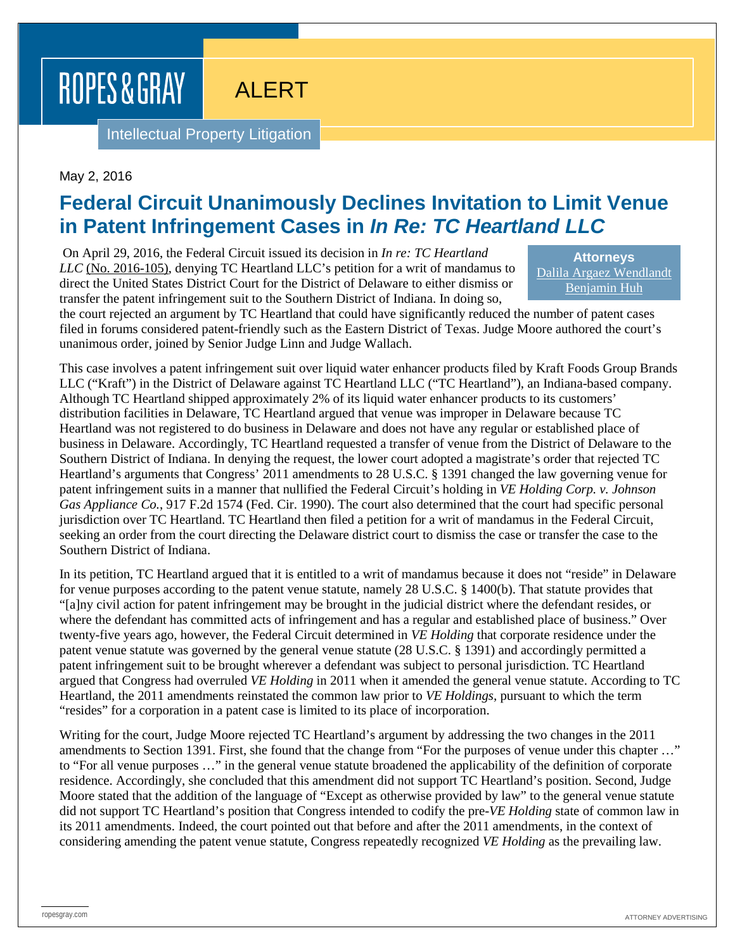ROPES & GRAY

ALERT

Intellectual Property Litigation

May 2, 2016

## **Federal Circuit Unanimously Declines Invitation to Limit Venue in Patent Infringement Cases in** *In Re: TC Heartland LLC*

On April 29, 2016, the Federal Circuit issued its decision in *[In re: TC Heartland](http://www.cafc.uscourts.gov/sites/default/files/opinions-orders/16-105.Order.4-28-2016.1.PDF)  LLC* [\(No. 2016-105\),](http://www.cafc.uscourts.gov/sites/default/files/opinions-orders/16-105.Order.4-28-2016.1.PDF) denying TC Heartland LLC's petition for a writ of mandamus to direct the United States District Court for the District of Delaware to either dismiss or transfer the patent infringement suit to the Southern District of Indiana. In doing so,

**Attorneys** [Dalila Argaez Wendlandt](https://www.ropesgray.com/biographies/w/dalila-argaez-wendlandt.aspx) [Benjamin Huh](https://www.ropesgray.com/biographies/h/benjamin-huh.aspx)

the court rejected an argument by TC Heartland that could have significantly reduced the number of patent cases filed in forums considered patent-friendly such as the Eastern District of Texas. Judge Moore authored the court's unanimous order, joined by Senior Judge Linn and Judge Wallach.

This case involves a patent infringement suit over liquid water enhancer products filed by Kraft Foods Group Brands LLC ("Kraft") in the District of Delaware against TC Heartland LLC ("TC Heartland"), an Indiana-based company. Although TC Heartland shipped approximately 2% of its liquid water enhancer products to its customers' distribution facilities in Delaware, TC Heartland argued that venue was improper in Delaware because TC Heartland was not registered to do business in Delaware and does not have any regular or established place of business in Delaware. Accordingly, TC Heartland requested a transfer of venue from the District of Delaware to the Southern District of Indiana. In denying the request, the lower court adopted a magistrate's order that rejected TC Heartland's arguments that Congress' 2011 amendments to 28 U.S.C. § 1391 changed the law governing venue for patent infringement suits in a manner that nullified the Federal Circuit's holding in *VE Holding Corp. v. Johnson Gas Appliance Co.*, 917 F.2d 1574 (Fed. Cir. 1990). The court also determined that the court had specific personal jurisdiction over TC Heartland. TC Heartland then filed a petition for a writ of mandamus in the Federal Circuit, seeking an order from the court directing the Delaware district court to dismiss the case or transfer the case to the Southern District of Indiana.

In its petition, TC Heartland argued that it is entitled to a writ of mandamus because it does not "reside" in Delaware for venue purposes according to the patent venue statute, namely 28 U.S.C. § 1400(b). That statute provides that "[a]ny civil action for patent infringement may be brought in the judicial district where the defendant resides, or where the defendant has committed acts of infringement and has a regular and established place of business." Over twenty-five years ago, however, the Federal Circuit determined in *VE Holding* that corporate residence under the patent venue statute was governed by the general venue statute (28 U.S.C. § 1391) and accordingly permitted a patent infringement suit to be brought wherever a defendant was subject to personal jurisdiction. TC Heartland argued that Congress had overruled *VE Holding* in 2011 when it amended the general venue statute. According to TC Heartland, the 2011 amendments reinstated the common law prior to *VE Holdings,* pursuant to which the term "resides" for a corporation in a patent case is limited to its place of incorporation.

Writing for the court, Judge Moore rejected TC Heartland's argument by addressing the two changes in the 2011 amendments to Section 1391. First, she found that the change from "For the purposes of venue under this chapter …" to "For all venue purposes …" in the general venue statute broadened the applicability of the definition of corporate residence. Accordingly, she concluded that this amendment did not support TC Heartland's position. Second, Judge Moore stated that the addition of the language of "Except as otherwise provided by law" to the general venue statute did not support TC Heartland's position that Congress intended to codify the pre-*VE Holding* state of common law in its 2011 amendments. Indeed, the court pointed out that before and after the 2011 amendments, in the context of considering amending the patent venue statute, Congress repeatedly recognized *VE Holding* as the prevailing law.